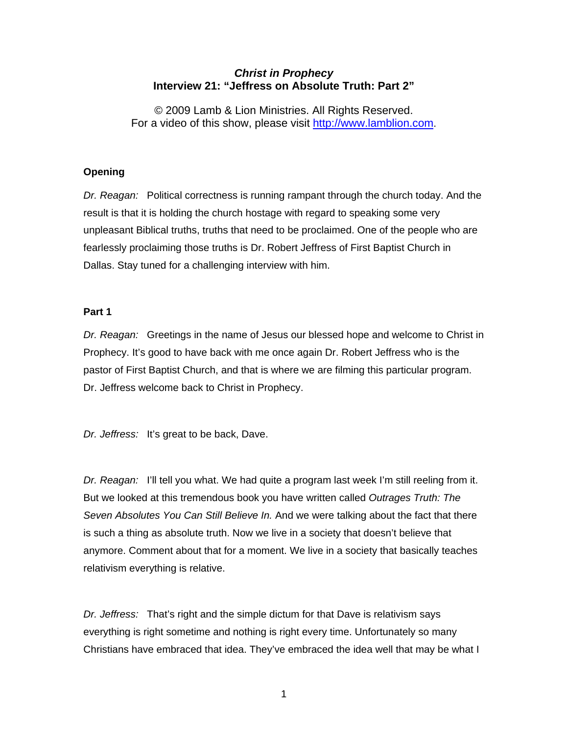# *Christ in Prophecy*  **Interview 21: "Jeffress on Absolute Truth: Part 2"**

© 2009 Lamb & Lion Ministries. All Rights Reserved. For a video of this show, please visit [http://www.lamblion.com](http://www.lamblion.com/).

# **Opening**

*Dr. Reagan:* Political correctness is running rampant through the church today. And the result is that it is holding the church hostage with regard to speaking some very unpleasant Biblical truths, truths that need to be proclaimed. One of the people who are fearlessly proclaiming those truths is Dr. Robert Jeffress of First Baptist Church in Dallas. Stay tuned for a challenging interview with him.

# **Part 1**

*Dr. Reagan:* Greetings in the name of Jesus our blessed hope and welcome to Christ in Prophecy. It's good to have back with me once again Dr. Robert Jeffress who is the pastor of First Baptist Church, and that is where we are filming this particular program. Dr. Jeffress welcome back to Christ in Prophecy.

*Dr. Jeffress:* It's great to be back, Dave.

*Dr. Reagan:* I'll tell you what. We had quite a program last week I'm still reeling from it. But we looked at this tremendous book you have written called *Outrages Truth: The Seven Absolutes You Can Still Believe In.* And we were talking about the fact that there is such a thing as absolute truth. Now we live in a society that doesn't believe that anymore. Comment about that for a moment. We live in a society that basically teaches relativism everything is relative.

*Dr. Jeffress:* That's right and the simple dictum for that Dave is relativism says everything is right sometime and nothing is right every time. Unfortunately so many Christians have embraced that idea. They've embraced the idea well that may be what I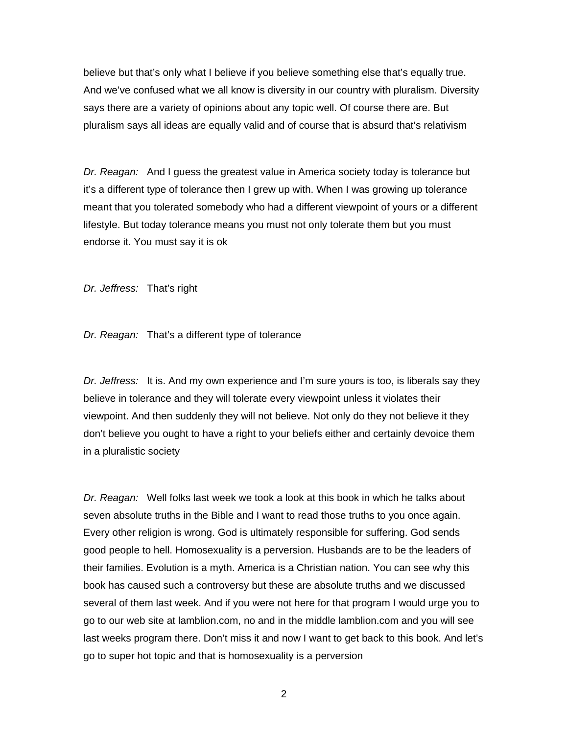believe but that's only what I believe if you believe something else that's equally true. And we've confused what we all know is diversity in our country with pluralism. Diversity says there are a variety of opinions about any topic well. Of course there are. But pluralism says all ideas are equally valid and of course that is absurd that's relativism

*Dr. Reagan:* And I guess the greatest value in America society today is tolerance but it's a different type of tolerance then I grew up with. When I was growing up tolerance meant that you tolerated somebody who had a different viewpoint of yours or a different lifestyle. But today tolerance means you must not only tolerate them but you must endorse it. You must say it is ok

*Dr. Jeffress:* That's right

*Dr. Reagan:* That's a different type of tolerance

*Dr. Jeffress:* It is. And my own experience and I'm sure yours is too, is liberals say they believe in tolerance and they will tolerate every viewpoint unless it violates their viewpoint. And then suddenly they will not believe. Not only do they not believe it they don't believe you ought to have a right to your beliefs either and certainly devoice them in a pluralistic society

*Dr. Reagan:* Well folks last week we took a look at this book in which he talks about seven absolute truths in the Bible and I want to read those truths to you once again. Every other religion is wrong. God is ultimately responsible for suffering. God sends good people to hell. Homosexuality is a perversion. Husbands are to be the leaders of their families. Evolution is a myth. America is a Christian nation. You can see why this book has caused such a controversy but these are absolute truths and we discussed several of them last week. And if you were not here for that program I would urge you to go to our web site at lamblion.com, no and in the middle lamblion.com and you will see last weeks program there. Don't miss it and now I want to get back to this book. And let's go to super hot topic and that is homosexuality is a perversion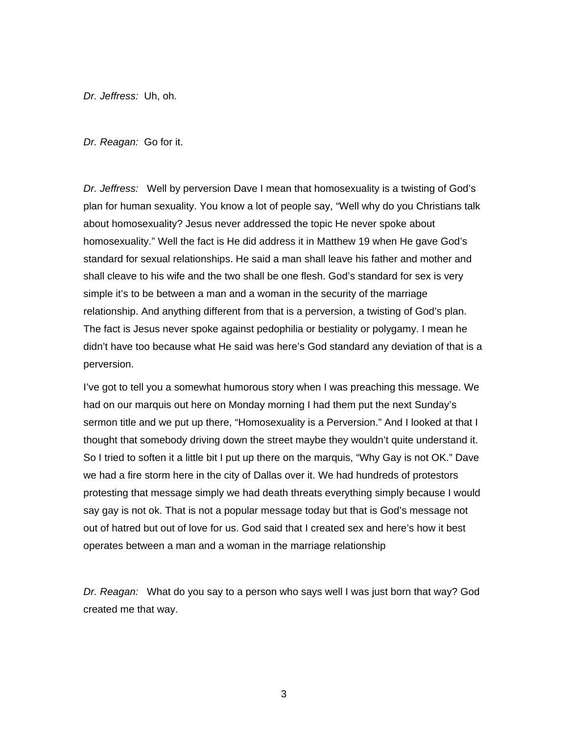*Dr. Jeffress:* Uh, oh.

*Dr. Reagan:* Go for it.

*Dr. Jeffress:* Well by perversion Dave I mean that homosexuality is a twisting of God's plan for human sexuality. You know a lot of people say, "Well why do you Christians talk about homosexuality? Jesus never addressed the topic He never spoke about homosexuality." Well the fact is He did address it in Matthew 19 when He gave God's standard for sexual relationships. He said a man shall leave his father and mother and shall cleave to his wife and the two shall be one flesh. God's standard for sex is very simple it's to be between a man and a woman in the security of the marriage relationship. And anything different from that is a perversion, a twisting of God's plan. The fact is Jesus never spoke against pedophilia or bestiality or polygamy. I mean he didn't have too because what He said was here's God standard any deviation of that is a perversion.

I've got to tell you a somewhat humorous story when I was preaching this message. We had on our marquis out here on Monday morning I had them put the next Sunday's sermon title and we put up there, "Homosexuality is a Perversion." And I looked at that I thought that somebody driving down the street maybe they wouldn't quite understand it. So I tried to soften it a little bit I put up there on the marquis, "Why Gay is not OK." Dave we had a fire storm here in the city of Dallas over it. We had hundreds of protestors protesting that message simply we had death threats everything simply because I would say gay is not ok. That is not a popular message today but that is God's message not out of hatred but out of love for us. God said that I created sex and here's how it best operates between a man and a woman in the marriage relationship

*Dr. Reagan:* What do you say to a person who says well I was just born that way? God created me that way.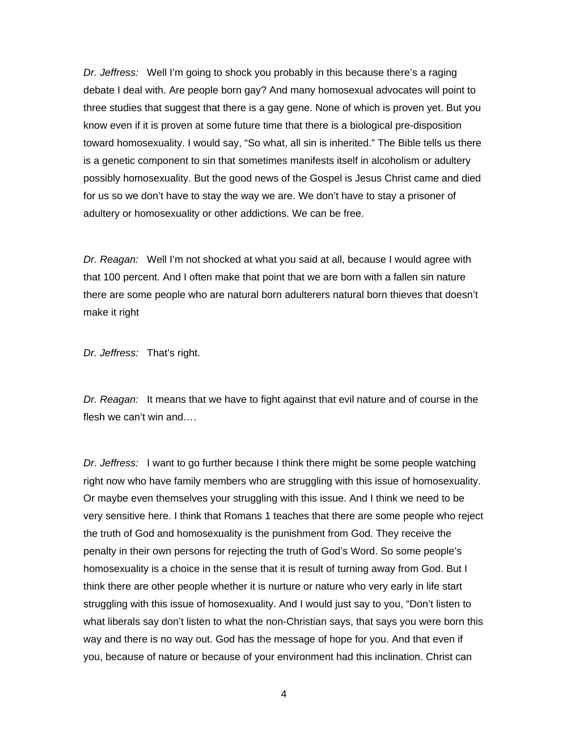*Dr. Jeffress:* Well I'm going to shock you probably in this because there's a raging debate I deal with. Are people born gay? And many homosexual advocates will point to three studies that suggest that there is a gay gene. None of which is proven yet. But you know even if it is proven at some future time that there is a biological pre-disposition toward homosexuality. I would say, "So what, all sin is inherited." The Bible tells us there is a genetic component to sin that sometimes manifests itself in alcoholism or adultery possibly homosexuality. But the good news of the Gospel is Jesus Christ came and died for us so we don't have to stay the way we are. We don't have to stay a prisoner of adultery or homosexuality or other addictions. We can be free.

*Dr. Reagan:* Well I'm not shocked at what you said at all, because I would agree with that 100 percent. And I often make that point that we are born with a fallen sin nature there are some people who are natural born adulterers natural born thieves that doesn't make it right

*Dr. Jeffress:* That's right.

*Dr. Reagan:* It means that we have to fight against that evil nature and of course in the flesh we can't win and….

*Dr. Jeffress:* I want to go further because I think there might be some people watching right now who have family members who are struggling with this issue of homosexuality. Or maybe even themselves your struggling with this issue. And I think we need to be very sensitive here. I think that Romans 1 teaches that there are some people who reject the truth of God and homosexuality is the punishment from God. They receive the penalty in their own persons for rejecting the truth of God's Word. So some people's homosexuality is a choice in the sense that it is result of turning away from God. But I think there are other people whether it is nurture or nature who very early in life start struggling with this issue of homosexuality. And I would just say to you, "Don't listen to what liberals say don't listen to what the non-Christian says, that says you were born this way and there is no way out. God has the message of hope for you. And that even if you, because of nature or because of your environment had this inclination. Christ can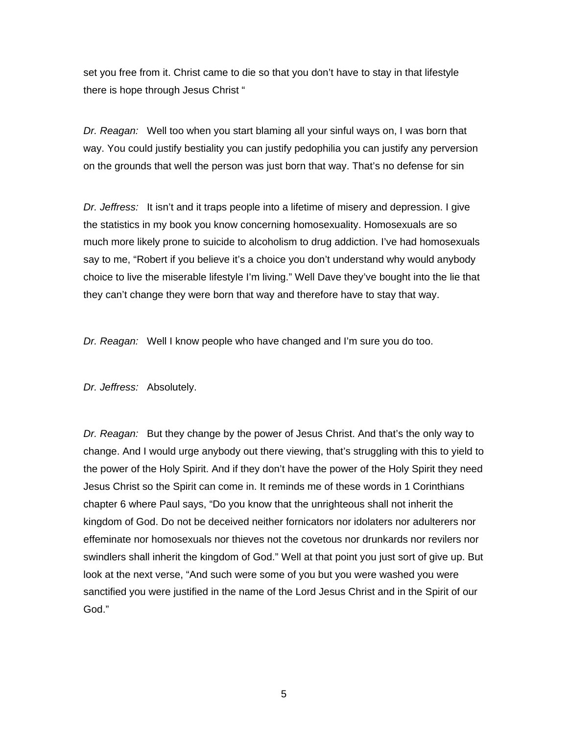set you free from it. Christ came to die so that you don't have to stay in that lifestyle there is hope through Jesus Christ "

*Dr. Reagan:* Well too when you start blaming all your sinful ways on, I was born that way. You could justify bestiality you can justify pedophilia you can justify any perversion on the grounds that well the person was just born that way. That's no defense for sin

*Dr. Jeffress:* It isn't and it traps people into a lifetime of misery and depression. I give the statistics in my book you know concerning homosexuality. Homosexuals are so much more likely prone to suicide to alcoholism to drug addiction. I've had homosexuals say to me, "Robert if you believe it's a choice you don't understand why would anybody choice to live the miserable lifestyle I'm living." Well Dave they've bought into the lie that they can't change they were born that way and therefore have to stay that way.

*Dr. Reagan:* Well I know people who have changed and I'm sure you do too.

*Dr. Jeffress:* Absolutely.

*Dr. Reagan:* But they change by the power of Jesus Christ. And that's the only way to change. And I would urge anybody out there viewing, that's struggling with this to yield to the power of the Holy Spirit. And if they don't have the power of the Holy Spirit they need Jesus Christ so the Spirit can come in. It reminds me of these words in 1 Corinthians chapter 6 where Paul says, "Do you know that the unrighteous shall not inherit the kingdom of God. Do not be deceived neither fornicators nor idolaters nor adulterers nor effeminate nor homosexuals nor thieves not the covetous nor drunkards nor revilers nor swindlers shall inherit the kingdom of God." Well at that point you just sort of give up. But look at the next verse, "And such were some of you but you were washed you were sanctified you were justified in the name of the Lord Jesus Christ and in the Spirit of our God."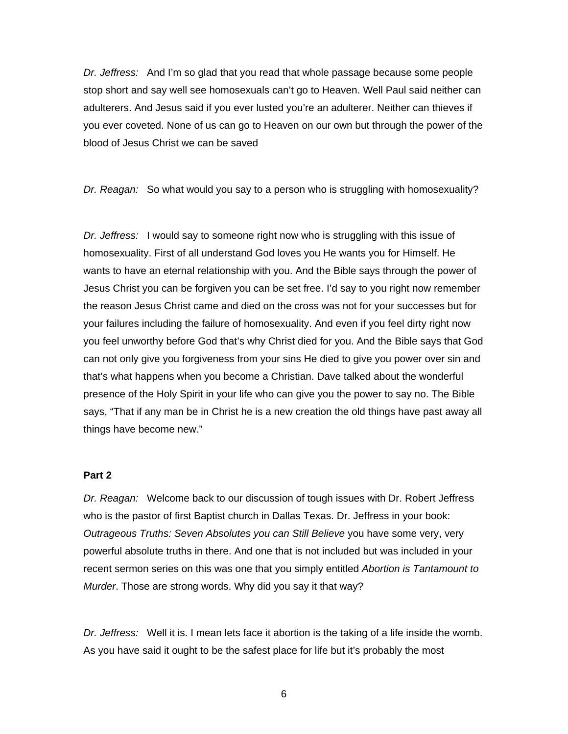*Dr. Jeffress:* And I'm so glad that you read that whole passage because some people stop short and say well see homosexuals can't go to Heaven. Well Paul said neither can adulterers. And Jesus said if you ever lusted you're an adulterer. Neither can thieves if you ever coveted. None of us can go to Heaven on our own but through the power of the blood of Jesus Christ we can be saved

*Dr. Reagan:* So what would you say to a person who is struggling with homosexuality?

*Dr. Jeffress:* I would say to someone right now who is struggling with this issue of homosexuality. First of all understand God loves you He wants you for Himself. He wants to have an eternal relationship with you. And the Bible says through the power of Jesus Christ you can be forgiven you can be set free. I'd say to you right now remember the reason Jesus Christ came and died on the cross was not for your successes but for your failures including the failure of homosexuality. And even if you feel dirty right now you feel unworthy before God that's why Christ died for you. And the Bible says that God can not only give you forgiveness from your sins He died to give you power over sin and that's what happens when you become a Christian. Dave talked about the wonderful presence of the Holy Spirit in your life who can give you the power to say no. The Bible says, "That if any man be in Christ he is a new creation the old things have past away all things have become new."

#### **Part 2**

*Dr. Reagan:* Welcome back to our discussion of tough issues with Dr. Robert Jeffress who is the pastor of first Baptist church in Dallas Texas. Dr. Jeffress in your book: *Outrageous Truths: Seven Absolutes you can Still Believe* you have some very, very powerful absolute truths in there. And one that is not included but was included in your recent sermon series on this was one that you simply entitled *Abortion is Tantamount to Murder*. Those are strong words. Why did you say it that way?

*Dr. Jeffress:* Well it is. I mean lets face it abortion is the taking of a life inside the womb. As you have said it ought to be the safest place for life but it's probably the most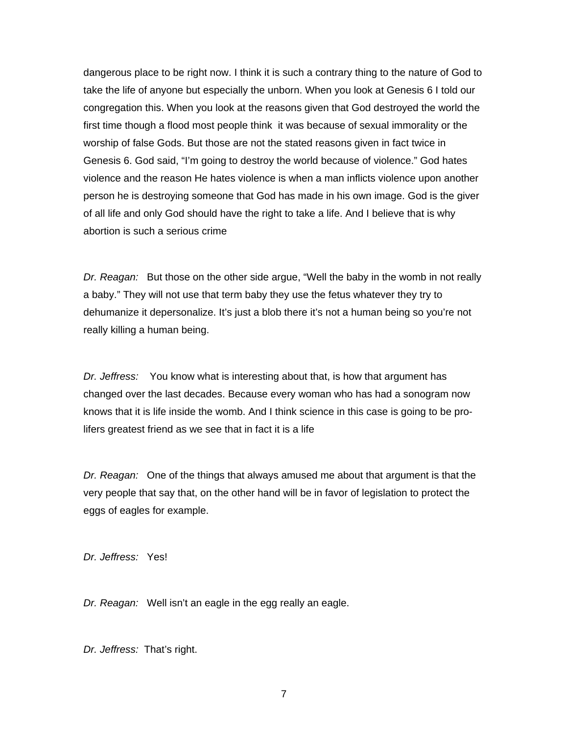dangerous place to be right now. I think it is such a contrary thing to the nature of God to take the life of anyone but especially the unborn. When you look at Genesis 6 I told our congregation this. When you look at the reasons given that God destroyed the world the first time though a flood most people think it was because of sexual immorality or the worship of false Gods. But those are not the stated reasons given in fact twice in Genesis 6. God said, "I'm going to destroy the world because of violence." God hates violence and the reason He hates violence is when a man inflicts violence upon another person he is destroying someone that God has made in his own image. God is the giver of all life and only God should have the right to take a life. And I believe that is why abortion is such a serious crime

*Dr. Reagan:* But those on the other side argue, "Well the baby in the womb in not really a baby." They will not use that term baby they use the fetus whatever they try to dehumanize it depersonalize. It's just a blob there it's not a human being so you're not really killing a human being.

*Dr. Jeffress:* You know what is interesting about that, is how that argument has changed over the last decades. Because every woman who has had a sonogram now knows that it is life inside the womb. And I think science in this case is going to be prolifers greatest friend as we see that in fact it is a life

*Dr. Reagan:* One of the things that always amused me about that argument is that the very people that say that, on the other hand will be in favor of legislation to protect the eggs of eagles for example.

*Dr. Jeffress:* Yes!

*Dr. Reagan:* Well isn't an eagle in the egg really an eagle.

*Dr. Jeffress:* That's right.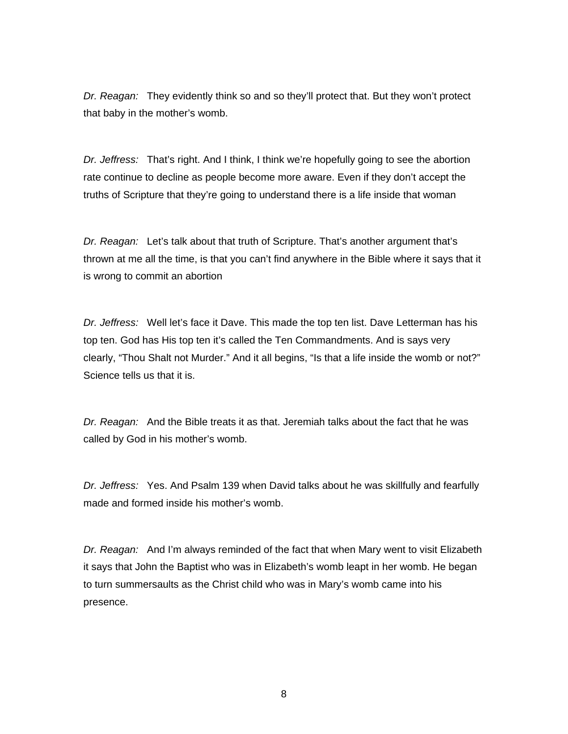*Dr. Reagan:* They evidently think so and so they'll protect that. But they won't protect that baby in the mother's womb.

*Dr. Jeffress:* That's right. And I think, I think we're hopefully going to see the abortion rate continue to decline as people become more aware. Even if they don't accept the truths of Scripture that they're going to understand there is a life inside that woman

*Dr. Reagan:* Let's talk about that truth of Scripture. That's another argument that's thrown at me all the time, is that you can't find anywhere in the Bible where it says that it is wrong to commit an abortion

*Dr. Jeffress:* Well let's face it Dave. This made the top ten list. Dave Letterman has his top ten. God has His top ten it's called the Ten Commandments. And is says very clearly, "Thou Shalt not Murder." And it all begins, "Is that a life inside the womb or not?" Science tells us that it is.

*Dr. Reagan:* And the Bible treats it as that. Jeremiah talks about the fact that he was called by God in his mother's womb.

*Dr. Jeffress:* Yes. And Psalm 139 when David talks about he was skillfully and fearfully made and formed inside his mother's womb.

*Dr. Reagan:* And I'm always reminded of the fact that when Mary went to visit Elizabeth it says that John the Baptist who was in Elizabeth's womb leapt in her womb. He began to turn summersaults as the Christ child who was in Mary's womb came into his presence.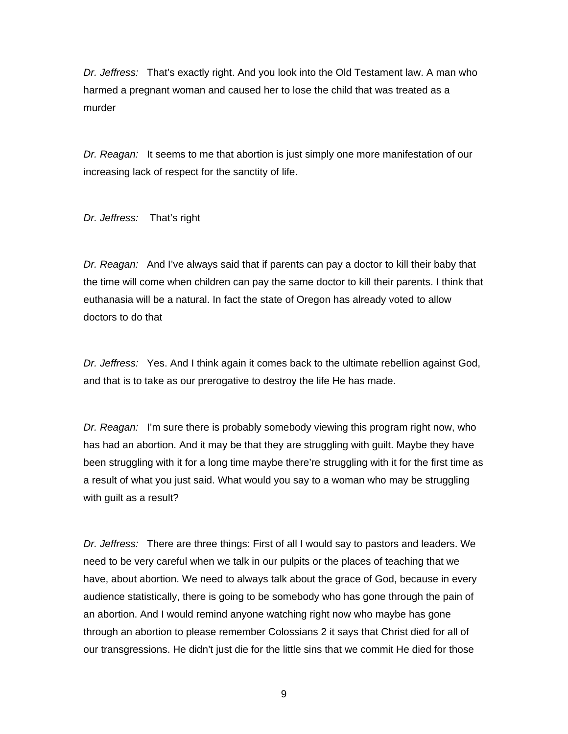*Dr. Jeffress:* That's exactly right. And you look into the Old Testament law. A man who harmed a pregnant woman and caused her to lose the child that was treated as a murder

*Dr. Reagan:* It seems to me that abortion is just simply one more manifestation of our increasing lack of respect for the sanctity of life.

*Dr. Jeffress:* That's right

*Dr. Reagan:* And I've always said that if parents can pay a doctor to kill their baby that the time will come when children can pay the same doctor to kill their parents. I think that euthanasia will be a natural. In fact the state of Oregon has already voted to allow doctors to do that

*Dr. Jeffress:* Yes. And I think again it comes back to the ultimate rebellion against God, and that is to take as our prerogative to destroy the life He has made.

*Dr. Reagan:* I'm sure there is probably somebody viewing this program right now, who has had an abortion. And it may be that they are struggling with guilt. Maybe they have been struggling with it for a long time maybe there're struggling with it for the first time as a result of what you just said. What would you say to a woman who may be struggling with guilt as a result?

*Dr. Jeffress:* There are three things: First of all I would say to pastors and leaders. We need to be very careful when we talk in our pulpits or the places of teaching that we have, about abortion. We need to always talk about the grace of God, because in every audience statistically, there is going to be somebody who has gone through the pain of an abortion. And I would remind anyone watching right now who maybe has gone through an abortion to please remember Colossians 2 it says that Christ died for all of our transgressions. He didn't just die for the little sins that we commit He died for those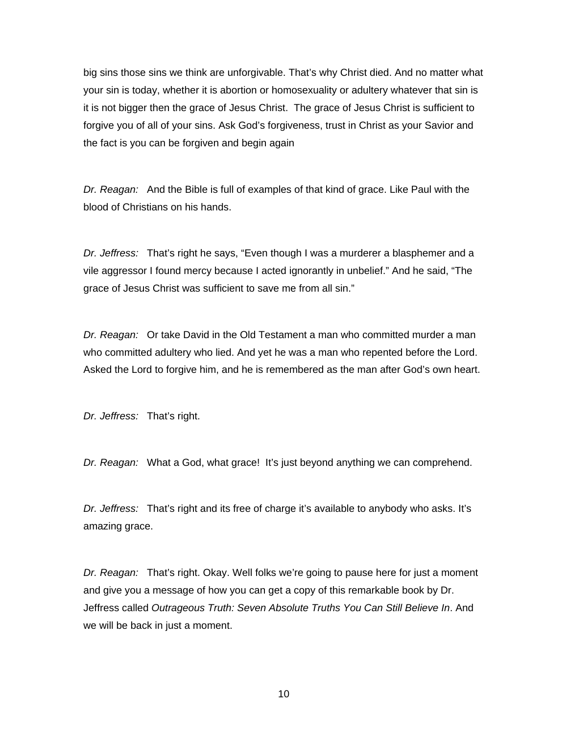big sins those sins we think are unforgivable. That's why Christ died. And no matter what your sin is today, whether it is abortion or homosexuality or adultery whatever that sin is it is not bigger then the grace of Jesus Christ. The grace of Jesus Christ is sufficient to forgive you of all of your sins. Ask God's forgiveness, trust in Christ as your Savior and the fact is you can be forgiven and begin again

*Dr. Reagan:* And the Bible is full of examples of that kind of grace. Like Paul with the blood of Christians on his hands.

*Dr. Jeffress:* That's right he says, "Even though I was a murderer a blasphemer and a vile aggressor I found mercy because I acted ignorantly in unbelief." And he said, "The grace of Jesus Christ was sufficient to save me from all sin."

*Dr. Reagan:* Or take David in the Old Testament a man who committed murder a man who committed adultery who lied. And yet he was a man who repented before the Lord. Asked the Lord to forgive him, and he is remembered as the man after God's own heart.

*Dr. Jeffress:* That's right.

*Dr. Reagan:* What a God, what grace! It's just beyond anything we can comprehend.

*Dr. Jeffress:* That's right and its free of charge it's available to anybody who asks. It's amazing grace.

*Dr. Reagan:* That's right. Okay. Well folks we're going to pause here for just a moment and give you a message of how you can get a copy of this remarkable book by Dr. Jeffress called *Outrageous Truth: Seven Absolute Truths You Can Still Believe In*. And we will be back in just a moment.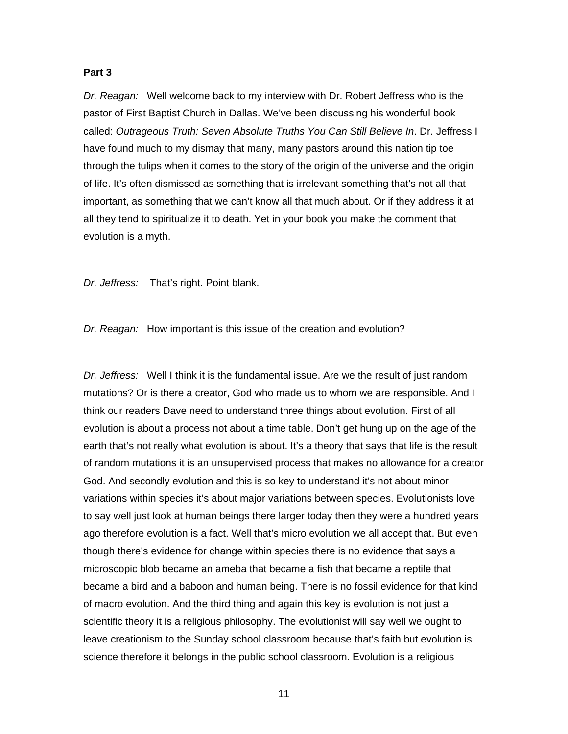### **Part 3**

*Dr. Reagan:* Well welcome back to my interview with Dr. Robert Jeffress who is the pastor of First Baptist Church in Dallas. We've been discussing his wonderful book called: *Outrageous Truth: Seven Absolute Truths You Can Still Believe In*. Dr. Jeffress I have found much to my dismay that many, many pastors around this nation tip toe through the tulips when it comes to the story of the origin of the universe and the origin of life. It's often dismissed as something that is irrelevant something that's not all that important, as something that we can't know all that much about. Or if they address it at all they tend to spiritualize it to death. Yet in your book you make the comment that evolution is a myth.

*Dr. Jeffress:* That's right. Point blank.

*Dr. Reagan:* How important is this issue of the creation and evolution?

*Dr. Jeffress:* Well I think it is the fundamental issue. Are we the result of just random mutations? Or is there a creator, God who made us to whom we are responsible. And I think our readers Dave need to understand three things about evolution. First of all evolution is about a process not about a time table. Don't get hung up on the age of the earth that's not really what evolution is about. It's a theory that says that life is the result of random mutations it is an unsupervised process that makes no allowance for a creator God. And secondly evolution and this is so key to understand it's not about minor variations within species it's about major variations between species. Evolutionists love to say well just look at human beings there larger today then they were a hundred years ago therefore evolution is a fact. Well that's micro evolution we all accept that. But even though there's evidence for change within species there is no evidence that says a microscopic blob became an ameba that became a fish that became a reptile that became a bird and a baboon and human being. There is no fossil evidence for that kind of macro evolution. And the third thing and again this key is evolution is not just a scientific theory it is a religious philosophy. The evolutionist will say well we ought to leave creationism to the Sunday school classroom because that's faith but evolution is science therefore it belongs in the public school classroom. Evolution is a religious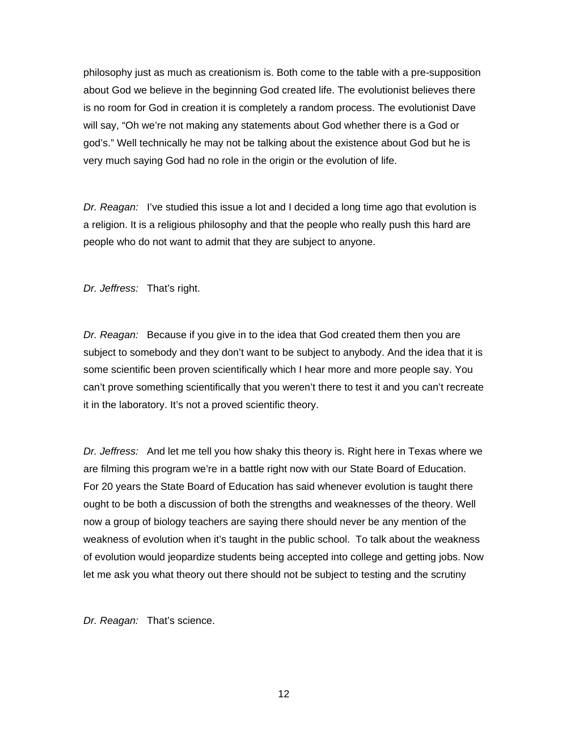philosophy just as much as creationism is. Both come to the table with a pre-supposition about God we believe in the beginning God created life. The evolutionist believes there is no room for God in creation it is completely a random process. The evolutionist Dave will say, "Oh we're not making any statements about God whether there is a God or god's." Well technically he may not be talking about the existence about God but he is very much saying God had no role in the origin or the evolution of life.

*Dr. Reagan:* I've studied this issue a lot and I decided a long time ago that evolution is a religion. It is a religious philosophy and that the people who really push this hard are people who do not want to admit that they are subject to anyone.

*Dr. Jeffress:* That's right.

*Dr. Reagan:* Because if you give in to the idea that God created them then you are subject to somebody and they don't want to be subject to anybody. And the idea that it is some scientific been proven scientifically which I hear more and more people say. You can't prove something scientifically that you weren't there to test it and you can't recreate it in the laboratory. It's not a proved scientific theory.

*Dr. Jeffress:* And let me tell you how shaky this theory is. Right here in Texas where we are filming this program we're in a battle right now with our State Board of Education. For 20 years the State Board of Education has said whenever evolution is taught there ought to be both a discussion of both the strengths and weaknesses of the theory. Well now a group of biology teachers are saying there should never be any mention of the weakness of evolution when it's taught in the public school. To talk about the weakness of evolution would jeopardize students being accepted into college and getting jobs. Now let me ask you what theory out there should not be subject to testing and the scrutiny

*Dr. Reagan:* That's science.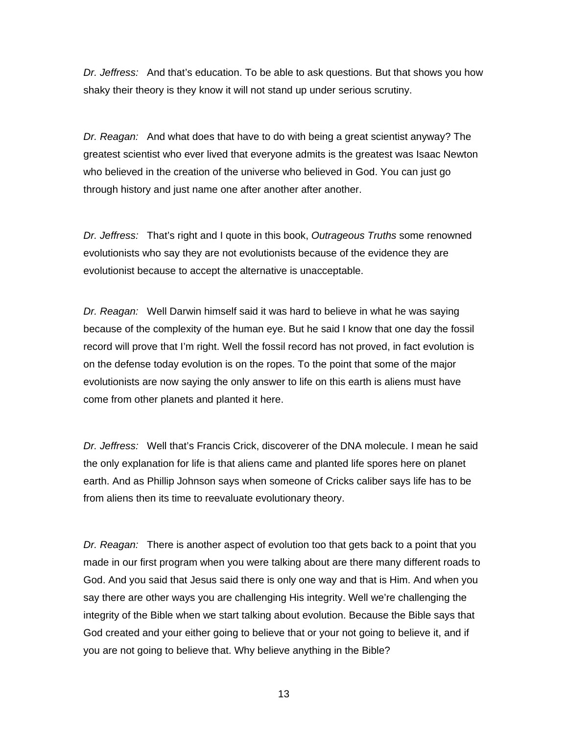*Dr. Jeffress:* And that's education. To be able to ask questions. But that shows you how shaky their theory is they know it will not stand up under serious scrutiny.

*Dr. Reagan:* And what does that have to do with being a great scientist anyway? The greatest scientist who ever lived that everyone admits is the greatest was Isaac Newton who believed in the creation of the universe who believed in God. You can just go through history and just name one after another after another.

*Dr. Jeffress:* That's right and I quote in this book, *Outrageous Truths* some renowned evolutionists who say they are not evolutionists because of the evidence they are evolutionist because to accept the alternative is unacceptable.

*Dr. Reagan:* Well Darwin himself said it was hard to believe in what he was saying because of the complexity of the human eye. But he said I know that one day the fossil record will prove that I'm right. Well the fossil record has not proved, in fact evolution is on the defense today evolution is on the ropes. To the point that some of the major evolutionists are now saying the only answer to life on this earth is aliens must have come from other planets and planted it here.

*Dr. Jeffress:* Well that's Francis Crick, discoverer of the DNA molecule. I mean he said the only explanation for life is that aliens came and planted life spores here on planet earth. And as Phillip Johnson says when someone of Cricks caliber says life has to be from aliens then its time to reevaluate evolutionary theory.

*Dr. Reagan:* There is another aspect of evolution too that gets back to a point that you made in our first program when you were talking about are there many different roads to God. And you said that Jesus said there is only one way and that is Him. And when you say there are other ways you are challenging His integrity. Well we're challenging the integrity of the Bible when we start talking about evolution. Because the Bible says that God created and your either going to believe that or your not going to believe it, and if you are not going to believe that. Why believe anything in the Bible?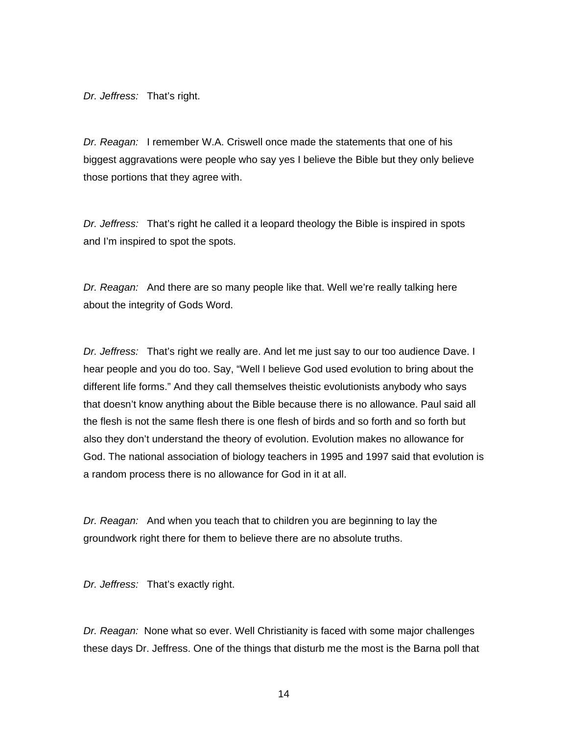*Dr. Jeffress:* That's right.

*Dr. Reagan:* I remember W.A. Criswell once made the statements that one of his biggest aggravations were people who say yes I believe the Bible but they only believe those portions that they agree with.

*Dr. Jeffress:* That's right he called it a leopard theology the Bible is inspired in spots and I'm inspired to spot the spots.

*Dr. Reagan:* And there are so many people like that. Well we're really talking here about the integrity of Gods Word.

*Dr. Jeffress:* That's right we really are. And let me just say to our too audience Dave. I hear people and you do too. Say, "Well I believe God used evolution to bring about the different life forms." And they call themselves theistic evolutionists anybody who says that doesn't know anything about the Bible because there is no allowance. Paul said all the flesh is not the same flesh there is one flesh of birds and so forth and so forth but also they don't understand the theory of evolution. Evolution makes no allowance for God. The national association of biology teachers in 1995 and 1997 said that evolution is a random process there is no allowance for God in it at all.

*Dr. Reagan:* And when you teach that to children you are beginning to lay the groundwork right there for them to believe there are no absolute truths.

*Dr. Jeffress:* That's exactly right.

*Dr. Reagan:* None what so ever. Well Christianity is faced with some major challenges these days Dr. Jeffress. One of the things that disturb me the most is the Barna poll that